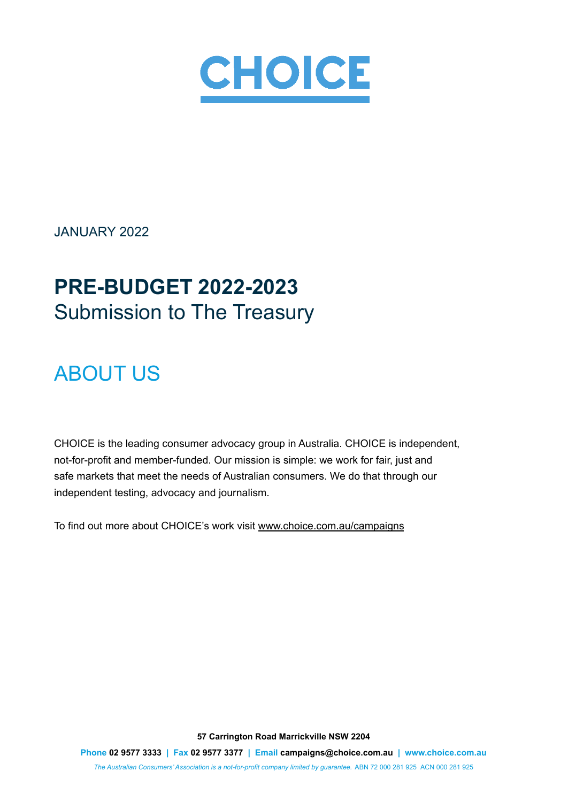

JANUARY 2022

# **PRE-BUDGET 2022-2023** Submission to The Treasury

# ABOUT US

CHOICE is the leading consumer advocacy group in Australia. CHOICE is independent, not-for-profit and member-funded. Our mission is simple: we work for fair, just and safe markets that meet the needs of Australian consumers. We do that through our independent testing, advocacy and journalism.

To find out more about CHOICE's work visit www.choice.com.au/campaigns

**57 Carrington Road Marrickville NSW 2204 Phone 02 9577 3333 | Fax 02 9577 3377 | Email campaigns@choice.com.au | www.choice.com.au** *The Australian Consumers' Association is a not-for-profit company limited by guarantee.* ABN 72 000 281 925 ACN 000 281 925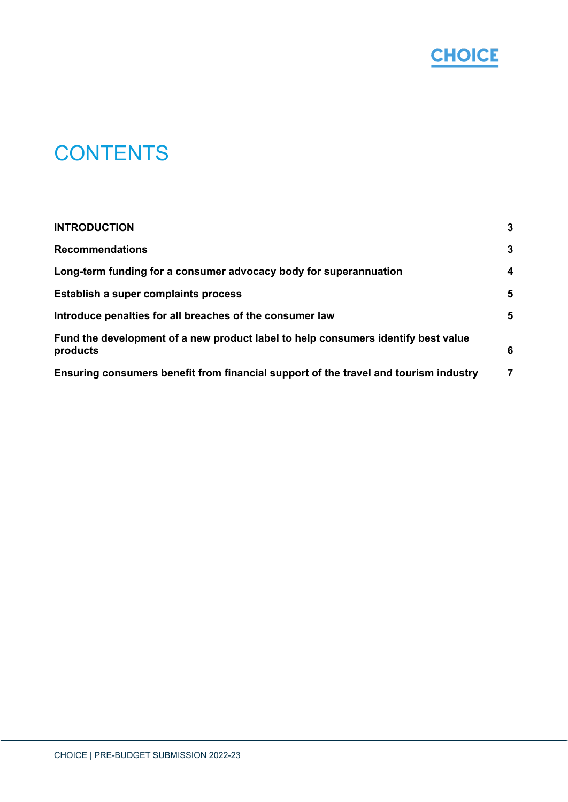

# **CONTENTS**

| <b>INTRODUCTION</b><br><b>Recommendations</b><br>Long-term funding for a consumer advocacy body for superannuation<br>Establish a super complaints process | 3                |
|------------------------------------------------------------------------------------------------------------------------------------------------------------|------------------|
|                                                                                                                                                            | $\mathbf{3}$     |
|                                                                                                                                                            | $\boldsymbol{4}$ |
|                                                                                                                                                            | 5                |
| Introduce penalties for all breaches of the consumer law                                                                                                   | 5                |
| Fund the development of a new product label to help consumers identify best value<br>products                                                              | 6                |
| Ensuring consumers benefit from financial support of the travel and tourism industry                                                                       | 7                |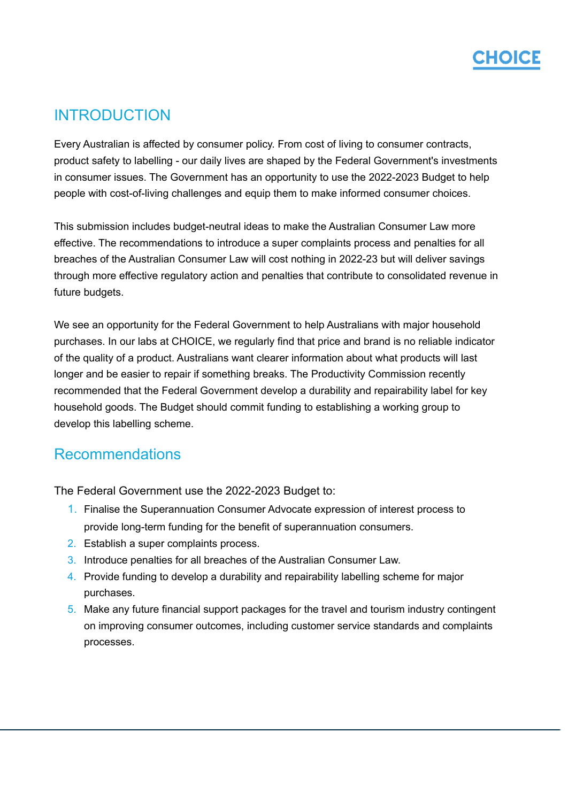### <span id="page-2-0"></span>**INTRODUCTION**

Every Australian is affected by consumer policy. From cost of living to consumer contracts, product safety to labelling - our daily lives are shaped by the Federal Government's investments in consumer issues. The Government has an opportunity to use the 2022-2023 Budget to help people with cost-of-living challenges and equip them to make informed consumer choices.

This submission includes budget-neutral ideas to make the Australian Consumer Law more effective. The recommendations to introduce a super complaints process and penalties for all breaches of the Australian Consumer Law will cost nothing in 2022-23 but will deliver savings through more effective regulatory action and penalties that contribute to consolidated revenue in future budgets.

We see an opportunity for the Federal Government to help Australians with major household purchases. In our labs at CHOICE, we regularly find that price and brand is no reliable indicator of the quality of a product. Australians want clearer information about what products will last longer and be easier to repair if something breaks. The Productivity Commission recently recommended that the Federal Government develop a durability and repairability label for key household goods. The Budget should commit funding to establishing a working group to develop this labelling scheme.

### <span id="page-2-1"></span>Recommendations

The Federal Government use the 2022-2023 Budget to:

- 1. Finalise the Superannuation Consumer Advocate expression of interest process to provide long-term funding for the benefit of superannuation consumers.
- 2. Establish a super complaints process.
- 3. Introduce penalties for all breaches of the Australian Consumer Law.
- 4. Provide funding to develop a durability and repairability labelling scheme for major purchases.
- 5. Make any future financial support packages for the travel and tourism industry contingent on improving consumer outcomes, including customer service standards and complaints processes.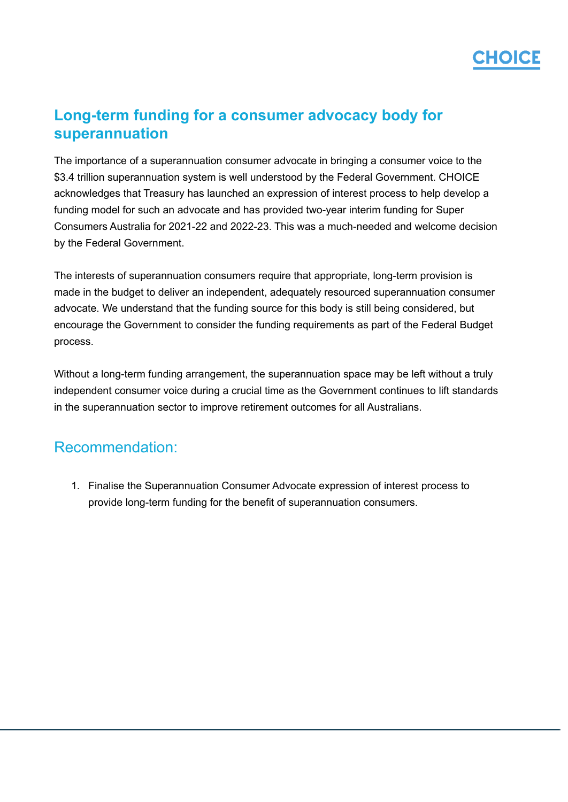## CHOICE

#### <span id="page-3-0"></span>**Long-term funding for a consumer advocacy body for superannuation**

The importance of a superannuation consumer advocate in bringing a consumer voice to the \$3.4 trillion superannuation system is well understood by the Federal Government. CHOICE acknowledges that Treasury has launched an expression of interest process to help develop a funding model for such an advocate and has provided two-year interim funding for Super Consumers Australia for 2021-22 and 2022-23. This was a much-needed and welcome decision by the Federal Government.

The interests of superannuation consumers require that appropriate, long-term provision is made in the budget to deliver an independent, adequately resourced superannuation consumer advocate. We understand that the funding source for this body is still being considered, but encourage the Government to consider the funding requirements as part of the Federal Budget process.

Without a long-term funding arrangement, the superannuation space may be left without a truly independent consumer voice during a crucial time as the Government continues to lift standards in the superannuation sector to improve retirement outcomes for all Australians.

### Recommendation:

1. Finalise the Superannuation Consumer Advocate expression of interest process to provide long-term funding for the benefit of superannuation consumers.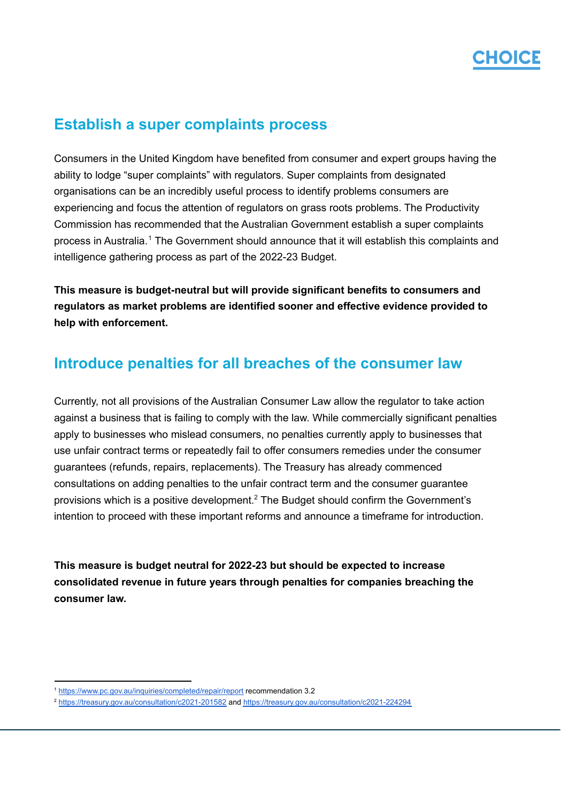

#### <span id="page-4-0"></span>**Establish a super complaints process**

Consumers in the United Kingdom have benefited from consumer and expert groups having the ability to lodge "super complaints" with regulators. Super complaints from designated organisations can be an incredibly useful process to identify problems consumers are experiencing and focus the attention of regulators on grass roots problems. The Productivity Commission has recommended that the Australian Government establish a super complaints process in Australia.<sup>1</sup> The Government should announce that it will establish this complaints and intelligence gathering process as part of the 2022-23 Budget.

**This measure is budget-neutral but will provide significant benefits to consumers and regulators as market problems are identified sooner and effective evidence provided to help with enforcement.**

### <span id="page-4-1"></span>**Introduce penalties for all breaches of the consumer law**

Currently, not all provisions of the Australian Consumer Law allow the regulator to take action against a business that is failing to comply with the law. While commercially significant penalties apply to businesses who mislead consumers, no penalties currently apply to businesses that use unfair contract terms or repeatedly fail to offer consumers remedies under the consumer guarantees (refunds, repairs, replacements). The Treasury has already commenced consultations on adding penalties to the unfair contract term and the consumer guarantee provisions which is a positive development.<sup>2</sup> The Budget should confirm the Government's intention to proceed with these important reforms and announce a timeframe for introduction.

**This measure is budget neutral for 2022-23 but should be expected to increase consolidated revenue in future years through penalties for companies breaching the consumer law.**

<sup>1</sup> <https://www.pc.gov.au/inquiries/completed/repair/report> recommendation 3.2

<sup>2</sup> <https://treasury.gov.au/consultation/c2021-201582> and <https://treasury.gov.au/consultation/c2021-224294>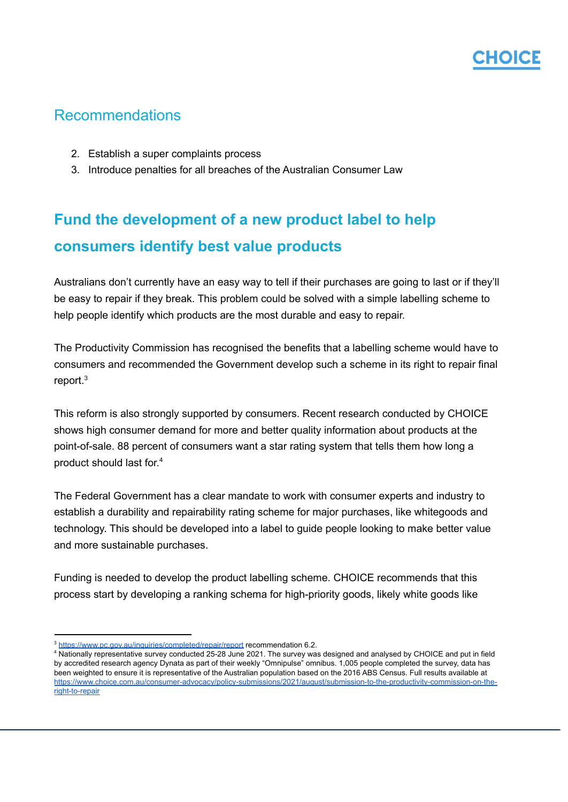### Recommendations

- 2. Establish a super complaints process
- 3. Introduce penalties for all breaches of the Australian Consumer Law

## <span id="page-5-0"></span>**Fund the development of a new product label to help consumers identify best value products**

Australians don't currently have an easy way to tell if their purchases are going to last or if they'll be easy to repair if they break. This problem could be solved with a simple labelling scheme to help people identify which products are the most durable and easy to repair.

The Productivity Commission has recognised the benefits that a labelling scheme would have to consumers and recommended the Government develop such a scheme in its right to repair final report. 3

This reform is also strongly supported by consumers. Recent research conducted by CHOICE shows high consumer demand for more and better quality information about products at the point-of-sale. 88 percent of consumers want a star rating system that tells them how long a product should last for. 4

The Federal Government has a clear mandate to work with consumer experts and industry to establish a durability and repairability rating scheme for major purchases, like whitegoods and technology. This should be developed into a label to guide people looking to make better value and more sustainable purchases.

Funding is needed to develop the product labelling scheme. CHOICE recommends that this process start by developing a ranking schema for high-priority goods, likely white goods like

<sup>3</sup> <https://www.pc.gov.au/inquiries/completed/repair/report> recommendation 6.2.

<sup>&</sup>lt;sup>4</sup> Nationally representative survey conducted 25-28 June 2021. The survey was designed and analysed by CHOICE and put in field by accredited research agency Dynata as part of their weekly "Omnipulse" omnibus. 1,005 people completed the survey, data has been weighted to ensure it is representative of the Australian population based on the 2016 ABS Census. Full results available at [https://www.choice.com.au/consumer-advocacy/policy-submissions/2021/august/submission-to-the-productivity-commission-on-the](https://www.choice.com.au/consumer-advocacy/policy-submissions/2021/august/submission-to-the-productivity-commission-on-the-right-to-repair)[right-to-repair](https://www.choice.com.au/consumer-advocacy/policy-submissions/2021/august/submission-to-the-productivity-commission-on-the-right-to-repair)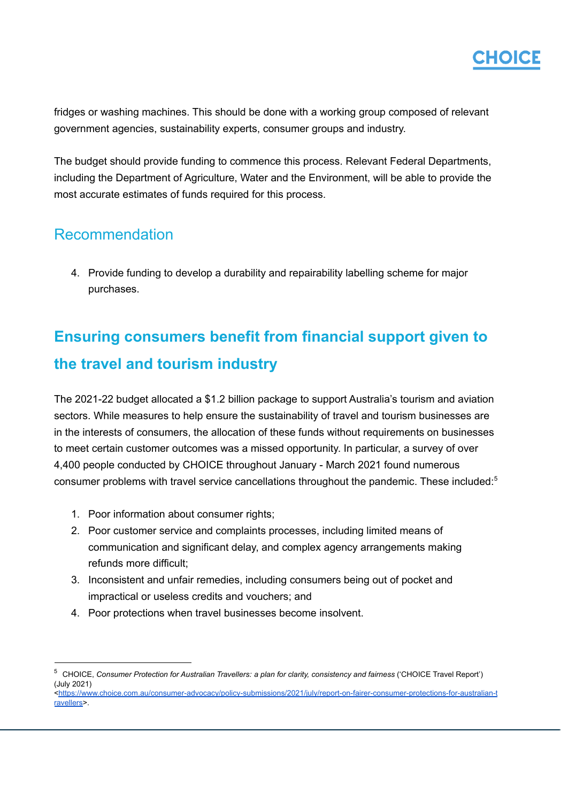

fridges or washing machines. This should be done with a working group composed of relevant government agencies, sustainability experts, consumer groups and industry.

The budget should provide funding to commence this process. Relevant Federal Departments, including the Department of Agriculture, Water and the Environment, will be able to provide the most accurate estimates of funds required for this process.

#### Recommendation

4. Provide funding to develop a durability and repairability labelling scheme for major purchases.

## <span id="page-6-0"></span>**Ensuring consumers benefit from financial support given to the travel and tourism industry**

The 2021-22 budget allocated a \$1.2 billion package to support Australia's tourism and aviation sectors. While measures to help ensure the sustainability of travel and tourism businesses are in the interests of consumers, the allocation of these funds without requirements on businesses to meet certain customer outcomes was a missed opportunity. In particular, a survey of over 4,400 people conducted by CHOICE throughout January - March 2021 found numerous consumer problems with travel service cancellations throughout the pandemic. These included: 5

- 1. Poor information about consumer rights;
- 2. Poor customer service and complaints processes, including limited means of communication and significant delay, and complex agency arrangements making refunds more difficult;
- 3. Inconsistent and unfair remedies, including consumers being out of pocket and impractical or useless credits and vouchers; and
- 4. Poor protections when travel businesses become insolvent.

<sup>5</sup> CHOICE, *Consumer Protection for Australian Travellers: a plan for clarity, consistency and fairness* ('CHOICE Travel Report') (July 2021)

[<sup>&</sup>lt;https://www.choice.com.au/consumer-advocacy/policy-submissions/2021/july/report-on-fairer-consumer-protections-for-australian-t](https://www.choice.com.au/consumer-advocacy/policy-submissions/2021/july/report-on-fairer-consumer-protections-for-australian-travellers) [ravellers>](https://www.choice.com.au/consumer-advocacy/policy-submissions/2021/july/report-on-fairer-consumer-protections-for-australian-travellers).